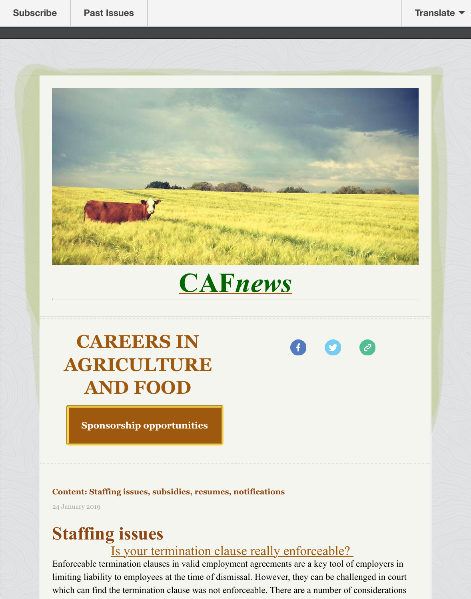

## **CAF***news*

## **CAREERS IN AGRICULT[URE](http://www.careersinagricultureandfood.ca/) AND FOOD**

A

**Sponsorship opportunities**

#### **Content: Staffing issues, subsidies, resumes, notifications**

24 Januar[y 2019](https://mbwomeninagnfood.wixsite.com/mwaf)

# **Staffing issues**

Is your termination clause really enforceable? Enforceable termination clauses in valid employment agreements are a key tool of employers in limiting liability to employees at the time of dismissal. However, they can be challenged in court which can find the termination clause was not enforceable. There are a number of consideration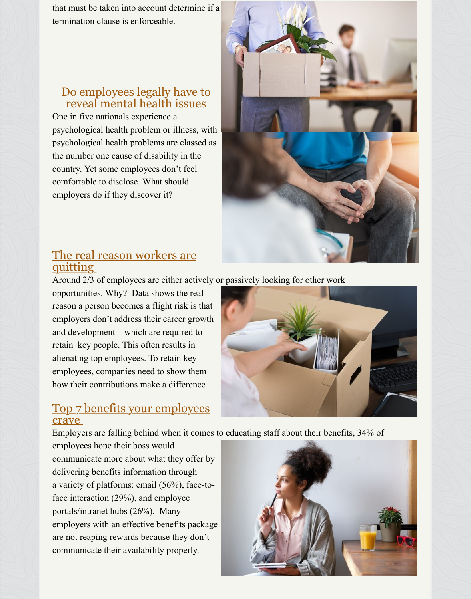#### Do employees legally have to reveal mental health issues

One in five nationals experience a psychological health problem or illness, with psychological health problems are classed as the number one cause of disability in the country. Yet some employees don't feel co[mfortable to disclose. What should](https://www.hrmonline.ca/hr-general-news/do-employees-legally-have-to-reveal-mental-health-issues-252966.aspx?utm_source=Pinpointe&utm_medium=20190121&utm_campaign=WHRMCA-Weekend&utm_content=5F58C510-6E60-45F7-9F53-0B5A7A4BCF62&tu=5F58C510-6E60-45F7-9F53-0B5A7A4BCF62) employers do if they discover it?



#### The real reason workers are quitting

Around 2/3 of employees are either actively or passively looking for other work

opportunities. Why? Data shows the real reason a person becomes a flight risk is that employers don't address their career growth and development – which are required to [retain key people. This often results in](https://www.hrmonline.ca/hr-general-news/the-real-reason-workers-are-quitting-252125.aspx?utm_source=GA&utm_medium=20181219&utm_campaign=WHRMCA-Newsletter-Batch1&utm_content=5F58C510-6E60-45F7-9F53-0B5A7A4BCF62&tu=5F58C510-6E60-45F7-9F53-0B5A7A4BCF62) alienating top employees. To retain key employees, companies need to show them how their contributions make a difference



#### Top 7 benefits your employees crave

Employers are falling behind when it comes to educating staff about their benefits, 34% of

employees hope their boss would communicate more about what they offer by delivering benefits information through a variety of platforms: email (56%), face-to[face interaction \(29%\), and employee](https://www.hrmonline.ca/hr-general-news/top-7-benefits-your-employees-crave-253336.aspx?utm_source=GA&utm_medium=20190124&utm_campaign=WHRMCA-Newsletter-Batch1&utm_content=5F58C510-6E60-45F7-9F53-0B5A7A4BCF62&tu=5F58C510-6E60-45F7-9F53-0B5A7A4BCF62) portals/intranet hubs (26%). Many employers with an effective benefits package are not reaping rewards because they don't communicate their availability properly.

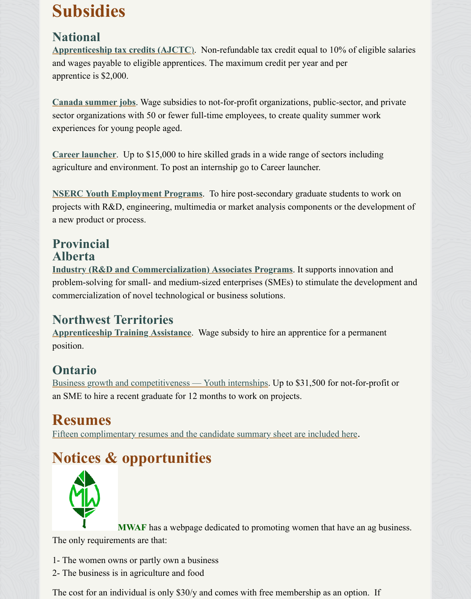**Canada summer jobs**. Wage subsidies to not-for-profit organizations, public-sector, and priva sector organizations with 50 or fewer full-time employees, to create quality summer work [experiences for young people aged.](https://www.canada.ca/en/revenue-agency/services/tax/individuals/topics/about-your-tax-return/tax-return/completing-a-tax-return/deductions-credits-expenses/line-412-investment-tax-credit/apprenticeship-job-creation-tax-credit.html) 

**Career launcher**. Up to \$15,000 to hire skilled grads in a wide range of sectors including agriculture and environment. To post an internship go to Career launcher.

**NSERC Youth Employment Programs**. To hire post-secondary graduate students to work on projects with R&D, engineering, multimedia or market analysis components or the development a new product or process.

#### **[Provincial](https://careerlauncher.ca/) Alberta**

**[Industry \(R&D and Commercialization](https://www.nrc-cnrc.gc.ca/eng/irap/services/youth_initiatives.html)) Associates Programs**. It supports innovation and problem-solving for small- and medium-sized enterprises (SMEs) to stimulate the development commercialization of novel technological or business solutions.

#### **Northwest Territories**

**Apprenticeship Training Assistance**. Wage subsidy to hire an apprentice for a permanent [position.](https://albertainnovates.ca/funding-entrepreneurial-investments/industry-associates-program) 

#### **Ontario**

Business growth and competitiveness — Youth internships. Up to \$31,500 for not-for-profit or an SME to hire a recent graduate for 12 months to work on projects.

#### **[Resumes](https://www.ece.gov.nt.ca/en/services/apprenticeship-and-trades)**

Fifteen complimentary resumes and the candidate summary sheet are included here.

### **[Notices & opportunities](http://fednor.gc.ca/eic/site/fednor-fednor.nsf/eng/fn03442.html)**



**MWAF** has a webpage dedicated to promoting women that have an ag busine The only requirements are that:

1- The women owns or partly own a business

2- The business is in agriculture and food

The cost for an individual is only \$30/y and comes with free membership as an option. If